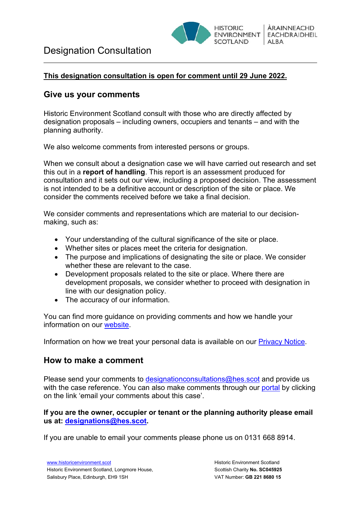

### **This designation consultation is open for comment until 29 June 2022.**

## **Give us your comments**

Historic Environment Scotland consult with those who are directly affected by designation proposals – including owners, occupiers and tenants – and with the planning authority.

We also welcome comments from interested persons or groups.

When we consult about a designation case we will have carried out research and set this out in a **report of handling**. This report is an assessment produced for consultation and it sets out our view, including a proposed decision. The assessment is not intended to be a definitive account or description of the site or place. We consider the comments received before we take a final decision.

We consider comments and representations which are material to our decisionmaking, such as:

- Your understanding of the cultural significance of the site or place.
- Whether sites or places meet the criteria for designation.
- The purpose and implications of designating the site or place. We consider whether these are relevant to the case.
- Development proposals related to the site or place. Where there are development proposals, we consider whether to proceed with designation in line with our designation policy.
- The accuracy of our information.

You can find more guidance on providing comments and how we handle your information on our [website.](http://portal.historicenvironment.scot/GUIDANCE)

Information on how we treat your personal data is available on our [Privacy Notice.](http://portal.historicenvironment.scot/privacynotice)

### **How to make a comment**

Please send your comments to [designationconsultations@hes.scot](mailto:designationconsultations@hes.scot) and provide us with the case reference. You can also make comments through our [portal](http://portal.historicenvironment.scot/) by clicking on the link 'email your comments about this case'.

**If you are the owner, occupier or tenant or the planning authority please email us at: [designations@hes.scot.](mailto:designations@hes.scot)**

If you are unable to email your comments please phone us on 0131 668 8914.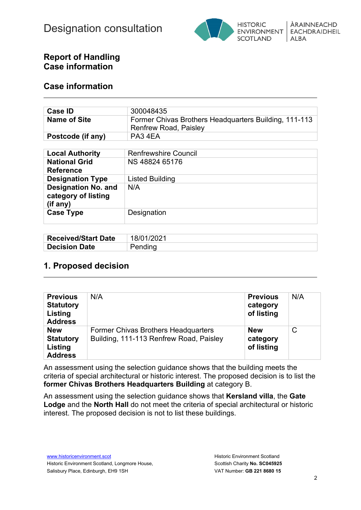

## **Report of Handling Case information**

### **Case information**

| Case <b>ID</b>      | 300048435                                                                             |
|---------------------|---------------------------------------------------------------------------------------|
| <b>Name of Site</b> | Former Chivas Brothers Headquarters Building, 111-113<br><b>Renfrew Road, Paisley</b> |
| Postcode (if any)   | PA34EA                                                                                |

| <b>Local Authority</b>                                        | <b>Renfrewshire Council</b> |
|---------------------------------------------------------------|-----------------------------|
| <b>National Grid</b><br><b>Reference</b>                      | NS 48824 65176              |
| <b>Designation Type</b>                                       | <b>Listed Building</b>      |
| <b>Designation No. and</b><br>category of listing<br>(if any) | N/A                         |
| <b>Case Type</b>                                              | Designation                 |

| <b>Received/Start Date</b> | 18/01/2021 |
|----------------------------|------------|
| <b>Decision Date</b>       | Pending    |

# **1. Proposed decision**

| <b>Previous</b><br><b>Statutory</b><br><b>Listing</b><br><b>Address</b> | N/A                                                                                   | <b>Previous</b><br>category<br>of listing | N/A |
|-------------------------------------------------------------------------|---------------------------------------------------------------------------------------|-------------------------------------------|-----|
| <b>New</b><br><b>Statutory</b><br>Listing<br><b>Address</b>             | <b>Former Chivas Brothers Headquarters</b><br>Building, 111-113 Renfrew Road, Paisley | <b>New</b><br>category<br>of listing      | С   |

An assessment using the selection guidance shows that the building meets the criteria of special architectural or historic interest. The proposed decision is to list the **former Chivas Brothers Headquarters Building** at category B.

An assessment using the selection guidance shows that **Kersland villa**, the **Gate Lodge** and the **North Hall** do not meet the criteria of special architectural or historic interest. The proposed decision is not to list these buildings.

[www.historicenvironment.scot](http://www.historicenvironment.scot/) Historic Environment Scotland, Longmore House, Salisbury Place, Edinburgh, EH9 1SH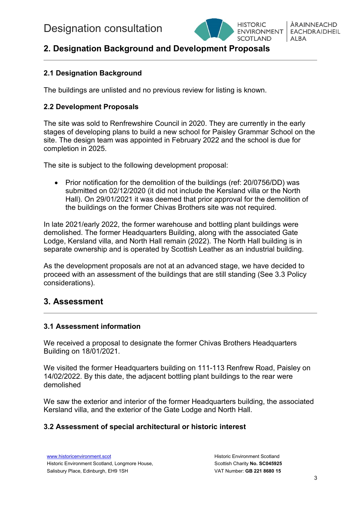

ÀRAINNFACHD **EACHDRAIDHEIL** ALBA

# **2. Designation Background and Development Proposals**

### **2.1 Designation Background**

The buildings are unlisted and no previous review for listing is known.

### **2.2 Development Proposals**

The site was sold to Renfrewshire Council in 2020. They are currently in the early stages of developing plans to build a new school for Paisley Grammar School on the site. The design team was appointed in February 2022 and the school is due for completion in 2025.

The site is subject to the following development proposal:

• Prior notification for the demolition of the buildings (ref: 20/0756/DD) was submitted on 02/12/2020 (it did not include the Kersland villa or the North Hall). On 29/01/2021 it was deemed that prior approval for the demolition of the buildings on the former Chivas Brothers site was not required.

In late 2021/early 2022, the former warehouse and bottling plant buildings were demolished. The former Headquarters Building, along with the associated Gate Lodge, Kersland villa, and North Hall remain (2022). The North Hall building is in separate ownership and is operated by Scottish Leather as an industrial building.

As the development proposals are not at an advanced stage, we have decided to proceed with an assessment of the buildings that are still standing (See 3.3 Policy considerations).

# **3. Assessment**

### **3.1 Assessment information**

We received a proposal to designate the former Chivas Brothers Headquarters Building on 18/01/2021.

We visited the former Headquarters building on 111-113 Renfrew Road, Paisley on 14/02/2022. By this date, the adjacent bottling plant buildings to the rear were demolished

We saw the exterior and interior of the former Headquarters building, the associated Kersland villa, and the exterior of the Gate Lodge and North Hall.

#### **3.2 Assessment of special architectural or historic interest**

[www.historicenvironment.scot](http://www.historicenvironment.scot/) Historic Environment Scotland, Longmore House, Salisbury Place, Edinburgh, EH9 1SH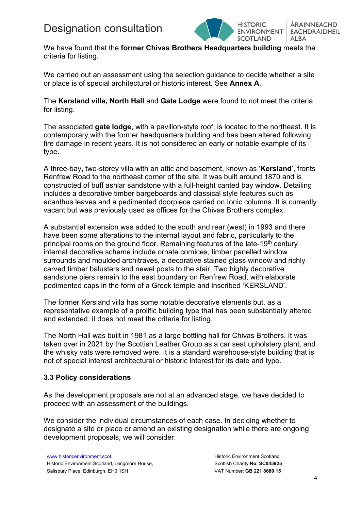

ÀRAINNEACHD **EACHDRAIDHEIL** ALBA

We have found that the **former Chivas Brothers Headquarters building** meets the criteria for listing.

We carried out an assessment using the selection guidance to decide whether a site or place is of special architectural or historic interest. See **Annex A**.

The **Kersland villa, North Hall** and **Gate Lodge** were found to not meet the criteria for listing.

The associated **gate lodge**, with a pavilion-style roof, is located to the northeast. It is contemporary with the former headquarters building and has been altered following fire damage in recent years. It is not considered an early or notable example of its type.

A three-bay, two-storey villa with an attic and basement, known as '**Kersland**', fronts Renfrew Road to the northeast corner of the site. It was built around 1870 and is constructed of buff ashlar sandstone with a full-height canted bay window. Detailing includes a decorative timber bargeboards and classical style features such as acanthus leaves and a pedimented doorpiece carried on Ionic columns. It is currently vacant but was previously used as offices for the Chivas Brothers complex.

A substantial extension was added to the south and rear (west) in 1993 and there have been some alterations to the internal layout and fabric, particularly to the principal rooms on the ground floor. Remaining features of the late-19<sup>th</sup> century internal decorative scheme include ornate cornices, timber panelled window surrounds and moulded architraves, a decorative stained glass window and richly carved timber balusters and newel posts to the stair. Two highly decorative sandstone piers remain to the east boundary on Renfrew Road, with elaborate pedimented caps in the form of a Greek temple and inscribed 'KERSLAND'.

The former Kersland villa has some notable decorative elements but, as a representative example of a prolific building type that has been substantially altered and extended, it does not meet the criteria for listing.

The North Hall was built in 1981 as a large bottling hall for Chivas Brothers. It was taken over in 2021 by the Scottish Leather Group as a car seat upholstery plant, and the whisky vats were removed were. It is a standard warehouse-style building that is not of special interest architectural or historic interest for its date and type.

### **3.3 Policy considerations**

As the development proposals are not at an advanced stage, we have decided to proceed with an assessment of the buildings.

We consider the individual circumstances of each case. In deciding whether to designate a site or place or amend an existing designation while there are ongoing development proposals, we will consider: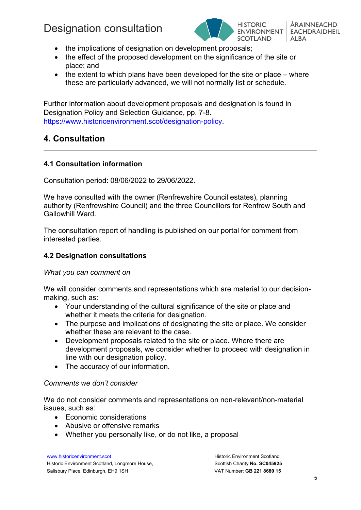

ÀRAINNFACHD **EACHDRAIDHEIL** ALBA

- the implications of designation on development proposals;
- the effect of the proposed development on the significance of the site or place; and
- the extent to which plans have been developed for the site or place where these are particularly advanced, we will not normally list or schedule.

Further information about development proposals and designation is found in Designation Policy and Selection Guidance, pp. 7-8. [https://www.historicenvironment.scot/designation-policy.](https://www.historicenvironment.scot/designation-policy)

# **4. Consultation**

### **4.1 Consultation information**

Consultation period: 08/06/2022 to 29/06/2022.

We have consulted with the owner (Renfrewshire Council estates), planning authority (Renfrewshire Council) and the three Councillors for Renfrew South and Gallowhill Ward.

The consultation report of handling is published on our portal for comment from interested parties.

#### **4.2 Designation consultations**

#### *What you can comment on*

We will consider comments and representations which are material to our decisionmaking, such as:

- Your understanding of the cultural significance of the site or place and whether it meets the criteria for designation.
- The purpose and implications of designating the site or place. We consider whether these are relevant to the case.
- Development proposals related to the site or place. Where there are development proposals, we consider whether to proceed with designation in line with our designation policy.
- The accuracy of our information.

### *Comments we don't consider*

We do not consider comments and representations on non-relevant/non-material issues, such as:

- Economic considerations
- Abusive or offensive remarks
- Whether you personally like, or do not like, a proposal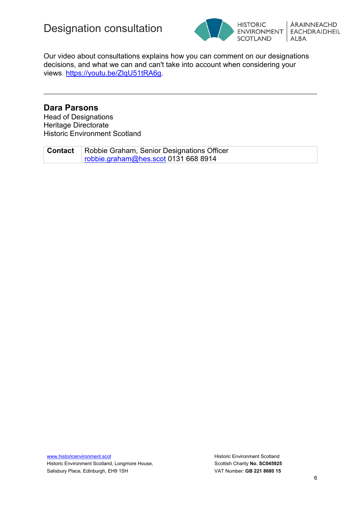



Our video about consultations explains how you can comment on our designations decisions, and what we can and can't take into account when considering your views. [https://youtu.be/ZlqU51tRA6g.](https://youtu.be/ZlqU51tRA6g)

### **Dara Parsons**

Head of Designations Heritage Directorate Historic Environment Scotland

| <b>Contact</b>   Robbie Graham, Senior Designations Officer |  |
|-------------------------------------------------------------|--|
| robbie.graham@hes.scot 0131 668 8914                        |  |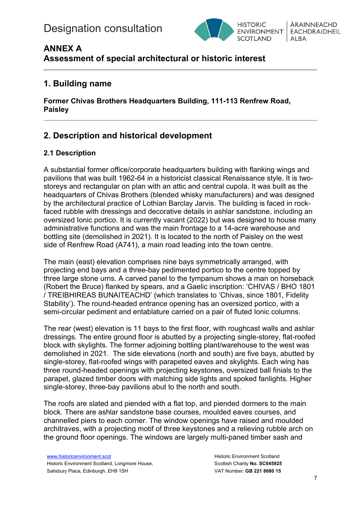

# **ANNEX A**

**Assessment of special architectural or historic interest**

# **1. Building name**

**Former Chivas Brothers Headquarters Building, 111-113 Renfrew Road, Paisley** 

# **2. Description and historical development**

# **2.1 Description**

A substantial former office/corporate headquarters building with flanking wings and pavilions that was built 1962-64 in a historicist classical Renaissance style. It is twostoreys and rectangular on plan with an attic and central cupola. It was built as the headquarters of Chivas Brothers (blended whisky manufacturers) and was designed by the architectural practice of Lothian Barclay Jarvis. The building is faced in rockfaced rubble with dressings and decorative details in ashlar sandstone, including an oversized Ionic portico. It is currently vacant (2022) but was designed to house many administrative functions and was the main frontage to a 14-acre warehouse and bottling site (demolished in 2021). It is located to the north of Paisley on the west side of Renfrew Road (A741), a main road leading into the town centre.

The main (east) elevation comprises nine bays symmetrically arranged, with projecting end bays and a three-bay pedimented portico to the centre topped by three large stone urns. A carved panel to the tympanum shows a man on horseback (Robert the Bruce) flanked by spears, and a Gaelic inscription: 'CHIVAS / BHO 1801 / TREIBHIREAS BUNAITEACHD' (which translates to 'Chivas, since 1801, Fidelity Stability'). The round-headed entrance opening has an oversized portico, with a semi-circular pediment and entablature carried on a pair of fluted Ionic columns.

The rear (west) elevation is 11 bays to the first floor, with roughcast walls and ashlar dressings. The entire ground floor is abutted by a projecting single-storey, flat-roofed block with skylights. The former adjoining bottling plant/warehouse to the west was demolished in 2021. The side elevations (north and south) are five bays, abutted by single-storey, flat-roofed wings with parapeted eaves and skylights. Each wing has three round-headed openings with projecting keystones, oversized ball finials to the parapet, glazed timber doors with matching side lights and spoked fanlights. Higher single-storey, three-bay pavilions abut to the north and south.

The roofs are slated and piended with a flat top, and piended dormers to the main block. There are ashlar sandstone base courses, moulded eaves courses, and channelled piers to each corner. The window openings have raised and moulded architraves, with a projecting motif of three keystones and a relieving rubble arch on the ground floor openings. The windows are largely multi-paned timber sash and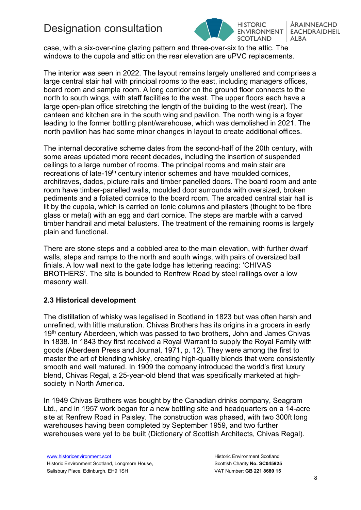

ÀRAINNFACHD **EACHDRAIDHEIL ENVIRONMENT SCOTLAND** ALBA

case, with a six-over-nine glazing pattern and three-over-six to the attic. The windows to the cupola and attic on the rear elevation are uPVC replacements.

The interior was seen in 2022. The layout remains largely unaltered and comprises a large central stair hall with principal rooms to the east, including managers offices, board room and sample room. A long corridor on the ground floor connects to the north to south wings, with staff facilities to the west. The upper floors each have a large open-plan office stretching the length of the building to the west (rear). The canteen and kitchen are in the south wing and pavilion. The north wing is a foyer leading to the former bottling plant/warehouse, which was demolished in 2021. The north pavilion has had some minor changes in layout to create additional offices.

The internal decorative scheme dates from the second-half of the 20th century, with some areas updated more recent decades, including the insertion of suspended ceilings to a large number of rooms. The principal rooms and main stair are recreations of late-19<sup>th</sup> century interior schemes and have moulded cornices, architraves, dados, picture rails and timber panelled doors. The board room and ante room have timber-panelled walls, moulded door surrounds with oversized, broken pediments and a foliated cornice to the board room. The arcaded central stair hall is lit by the cupola, which is carried on Ionic columns and pilasters (thought to be fibre glass or metal) with an egg and dart cornice. The steps are marble with a carved timber handrail and metal balusters. The treatment of the remaining rooms is largely plain and functional.

There are stone steps and a cobbled area to the main elevation, with further dwarf walls, steps and ramps to the north and south wings, with pairs of oversized ball finials. A low wall next to the gate lodge has lettering reading: 'CHIVAS BROTHERS'. The site is bounded to Renfrew Road by steel railings over a low masonry wall.

### **2.3 Historical development**

The distillation of whisky was legalised in Scotland in 1823 but was often harsh and unrefined, with little maturation. Chivas Brothers has its origins in a grocers in early 19<sup>th</sup> century Aberdeen, which was passed to two brothers, John and James Chivas in 1838. In 1843 they first received a Royal Warrant to supply the Royal Family with goods (Aberdeen Press and Journal, 1971, p. 12). They were among the first to master the art of blending whisky, creating high-quality blends that were consistently smooth and well matured. In 1909 the company introduced the world's first luxury blend, Chivas Regal, a 25-year-old blend that was specifically marketed at highsociety in North America.

In 1949 Chivas Brothers was bought by the Canadian drinks company, Seagram Ltd., and in 1957 work began for a new bottling site and headquarters on a 14-acre site at Renfrew Road in Paisley. The construction was phased, with two 300ft long warehouses having been completed by September 1959, and two further warehouses were yet to be built (Dictionary of Scottish Architects, Chivas Regal).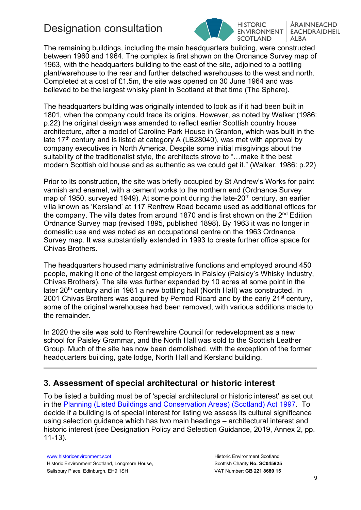

**HISTORIC ENVIRONMENT SCOTLAND** 

ÀRAINNFACHD **EACHDRAIDHEIL** ALBA

The remaining buildings, including the main headquarters building, were constructed between 1960 and 1964. The complex is first shown on the Ordnance Survey map of 1963, with the headquarters building to the east of the site, adjoined to a bottling plant/warehouse to the rear and further detached warehouses to the west and north. Completed at a cost of £1.5m, the site was opened on 30 June 1964 and was believed to be the largest whisky plant in Scotland at that time (The Sphere).

The headquarters building was originally intended to look as if it had been built in 1801, when the company could trace its origins. However, as noted by Walker (1986: p.22) the original design was amended to reflect earlier Scottish country house architecture, after a model of Caroline Park House in Granton, which was built in the late 17<sup>th</sup> century and is listed at category A (LB28040), was met with approval by company executives in North America. Despite some initial misgivings about the suitability of the traditionalist style, the architects strove to "…make it the best modern Scottish old house and as authentic as we could get it." (Walker, 1986: p.22)

Prior to its construction, the site was briefly occupied by St Andrew's Works for paint varnish and enamel, with a cement works to the northern end (Ordnance Survey map of 1950, surveyed 1949). At some point during the late-20<sup>th</sup> century, an earlier villa known as 'Kersland' at 117 Renfrew Road became used as additional offices for the company. The villa dates from around 1870 and is first shown on the 2<sup>nd</sup> Edition Ordnance Survey map (revised 1895, published 1898). By 1963 it was no longer in domestic use and was noted as an occupational centre on the 1963 Ordnance Survey map. It was substantially extended in 1993 to create further office space for Chivas Brothers.

The headquarters housed many administrative functions and employed around 450 people, making it one of the largest employers in Paisley (Paisley's Whisky Industry, Chivas Brothers). The site was further expanded by 10 acres at some point in the later  $20<sup>th</sup>$  century and in 1981 a new bottling hall (North Hall) was constructed. In 2001 Chivas Brothers was acquired by Pernod Ricard and by the early 21<sup>st</sup> century, some of the original warehouses had been removed, with various additions made to the remainder.

In 2020 the site was sold to Renfrewshire Council for redevelopment as a new school for Paisley Grammar, and the North Hall was sold to the Scottish Leather Group. Much of the site has now been demolished, with the exception of the former headquarters building, gate lodge, North Hall and Kersland building.

# **3. Assessment of special architectural or historic interest**

To be listed a building must be of 'special architectural or historic interest' as set out in the [Planning \(Listed Buildings and Conservation Areas\) \(Scotland\) Act 1997.](https://www.legislation.gov.uk/ukpga/1997/9/contents) To decide if a building is of special interest for listing we assess its cultural significance using selection guidance which has two main headings – architectural interest and historic interest (see Designation Policy and Selection Guidance, 2019, Annex 2, pp. 11-13).

[www.historicenvironment.scot](http://www.historicenvironment.scot/) Historic Environment Scotland, Longmore House, Salisbury Place, Edinburgh, EH9 1SH

Historic Environment Scotland Scottish Charity **No. SC045925** VAT Number: **GB 221 8680 15**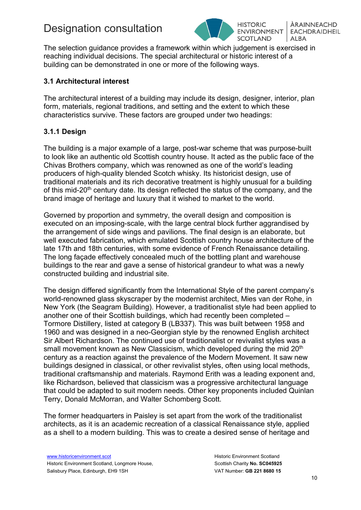

ÀRAINNFACHD **ENVIRONMENT EACHDRAIDHEIL** ALBA

The selection guidance provides a framework within which judgement is exercised in reaching individual decisions. The special architectural or historic interest of a building can be demonstrated in one or more of the following ways.

### **3.1 Architectural interest**

The architectural interest of a building may include its design, designer, interior, plan form, materials, regional traditions, and setting and the extent to which these characteristics survive. These factors are grouped under two headings:

### **3.1.1 Design**

The building is a major example of a large, post-war scheme that was purpose-built to look like an authentic old Scottish country house. It acted as the public face of the Chivas Brothers company, which was renowned as one of the world's leading producers of high-quality blended Scotch whisky. Its historicist design, use of traditional materials and its rich decorative treatment is highly unusual for a building of this mid-20<sup>th</sup> century date. Its design reflected the status of the company, and the brand image of heritage and luxury that it wished to market to the world.

Governed by proportion and symmetry, the overall design and composition is executed on an imposing-scale, with the large central block further aggrandised by the arrangement of side wings and pavilions. The final design is an elaborate, but well executed fabrication, which emulated Scottish country house architecture of the late 17th and 18th centuries, with some evidence of French Renaissance detailing. The long façade effectively concealed much of the bottling plant and warehouse buildings to the rear and gave a sense of historical grandeur to what was a newly constructed building and industrial site.

The design differed significantly from the International Style of the parent company's world-renowned glass skyscraper by the modernist architect, Mies van der Rohe, in New York (the Seagram Building). However, a traditionalist style had been applied to another one of their Scottish buildings, which had recently been completed – Tormore Distillery, listed at category B (LB337). This was built between 1958 and 1960 and was designed in a neo-Georgian style by the renowned English architect Sir Albert Richardson. The continued use of traditionalist or revivalist styles was a small movement known as New Classicism, which developed during the mid 20<sup>th</sup> century as a reaction against the prevalence of the Modern Movement. It saw new buildings designed in classical, or other revivalist styles, often using local methods, traditional craftsmanship and materials. Raymond Erith was a leading exponent and, like Richardson, believed that classicism was a progressive architectural language that could be adapted to suit modern needs. Other key proponents included Quinlan Terry, Donald McMorran, and Walter Schomberg Scott.

The former headquarters in Paisley is set apart from the work of the traditionalist architects, as it is an academic recreation of a classical Renaissance style, applied as a shell to a modern building. This was to create a desired sense of heritage and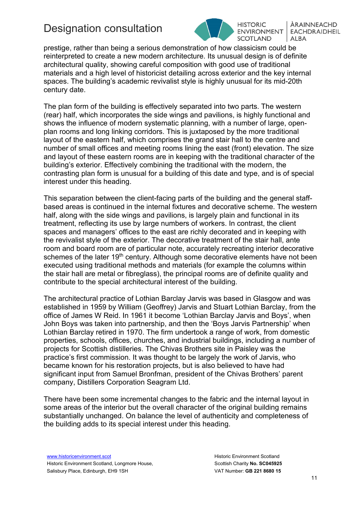

**HISTORIC ENVIRONMENT SCOTLAND** 

ÀRAINNFACHD **EACHDRAIDHEIL** ALBA

prestige, rather than being a serious demonstration of how classicism could be reinterpreted to create a new modern architecture. Its unusual design is of definite architectural quality, showing careful composition with good use of traditional materials and a high level of historicist detailing across exterior and the key internal spaces. The building's academic revivalist style is highly unusual for its mid-20th century date.

The plan form of the building is effectively separated into two parts. The western (rear) half, which incorporates the side wings and pavilions, is highly functional and shows the influence of modern systematic planning, with a number of large, openplan rooms and long linking corridors. This is juxtaposed by the more traditional layout of the eastern half, which comprises the grand stair hall to the centre and number of small offices and meeting rooms lining the east (front) elevation. The size and layout of these eastern rooms are in keeping with the traditional character of the building's exterior. Effectively combining the traditional with the modern, the contrasting plan form is unusual for a building of this date and type, and is of special interest under this heading.

This separation between the client-facing parts of the building and the general staffbased areas is continued in the internal fixtures and decorative scheme. The western half, along with the side wings and pavilions, is largely plain and functional in its treatment, reflecting its use by large numbers of workers. In contrast, the client spaces and managers' offices to the east are richly decorated and in keeping with the revivalist style of the exterior. The decorative treatment of the stair hall, ante room and board room are of particular note, accurately recreating interior decorative schemes of the later 19<sup>th</sup> century. Although some decorative elements have not been executed using traditional methods and materials (for example the columns within the stair hall are metal or fibreglass), the principal rooms are of definite quality and contribute to the special architectural interest of the building.

The architectural practice of Lothian Barclay Jarvis was based in Glasgow and was established in 1959 by William (Geoffrey) Jarvis and Stuart Lothian Barclay, from the office of James W Reid. In 1961 it become 'Lothian Barclay Jarvis and Boys', when John Boys was taken into partnership, and then the 'Boys Jarvis Partnership' when Lothian Barclay retired in 1970. The firm undertook a range of work, from domestic properties, schools, offices, churches, and industrial buildings, including a number of projects for Scottish distilleries. The Chivas Brothers site in Paisley was the practice's first commission. It was thought to be largely the work of Jarvis, who became known for his restoration projects, but is also believed to have had significant input from Samuel Bronfman, president of the Chivas Brothers' parent company, Distillers Corporation Seagram Ltd.

There have been some incremental changes to the fabric and the internal layout in some areas of the interior but the overall character of the original building remains substantially unchanged. On balance the level of authenticity and completeness of the building adds to its special interest under this heading.

[www.historicenvironment.scot](http://www.historicenvironment.scot/) Historic Environment Scotland, Longmore House, Salisbury Place, Edinburgh, EH9 1SH

Historic Environment Scotland Scottish Charity **No. SC045925** VAT Number: **GB 221 8680 15**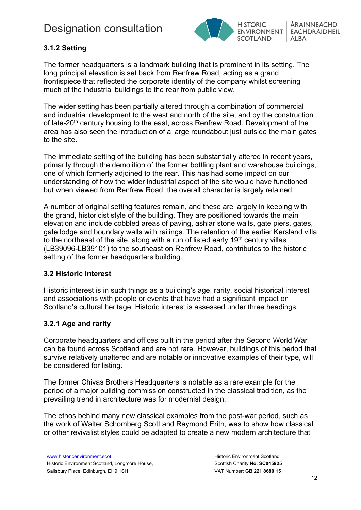

## **3.1.2 Setting**

The former headquarters is a landmark building that is prominent in its setting. The long principal elevation is set back from Renfrew Road, acting as a grand frontispiece that reflected the corporate identity of the company whilst screening much of the industrial buildings to the rear from public view.

The wider setting has been partially altered through a combination of commercial and industrial development to the west and north of the site, and by the construction of late-20<sup>th</sup> century housing to the east, across Renfrew Road. Development of the area has also seen the introduction of a large roundabout just outside the main gates to the site.

The immediate setting of the building has been substantially altered in recent years, primarily through the demolition of the former bottling plant and warehouse buildings, one of which formerly adjoined to the rear. This has had some impact on our understanding of how the wider industrial aspect of the site would have functioned but when viewed from Renfrew Road, the overall character is largely retained.

A number of original setting features remain, and these are largely in keeping with the grand, historicist style of the building. They are positioned towards the main elevation and include cobbled areas of paving, ashlar stone walls, gate piers, gates, gate lodge and boundary walls with railings. The retention of the earlier Kersland villa to the northeast of the site, along with a run of listed early  $19<sup>th</sup>$  century villas (LB39096-LB39101) to the southeast on Renfrew Road, contributes to the historic setting of the former headquarters building.

### **3.2 Historic interest**

Historic interest is in such things as a building's age, rarity, social historical interest and associations with people or events that have had a significant impact on Scotland's cultural heritage. Historic interest is assessed under three headings:

### **3.2.1 Age and rarity**

Corporate headquarters and offices built in the period after the Second World War can be found across Scotland and are not rare. However, buildings of this period that survive relatively unaltered and are notable or innovative examples of their type, will be considered for listing.

The former Chivas Brothers Headquarters is notable as a rare example for the period of a major building commission constructed in the classical tradition, as the prevailing trend in architecture was for modernist design.

The ethos behind many new classical examples from the post-war period, such as the work of Walter Schomberg Scott and Raymond Erith, was to show how classical or other revivalist styles could be adapted to create a new modern architecture that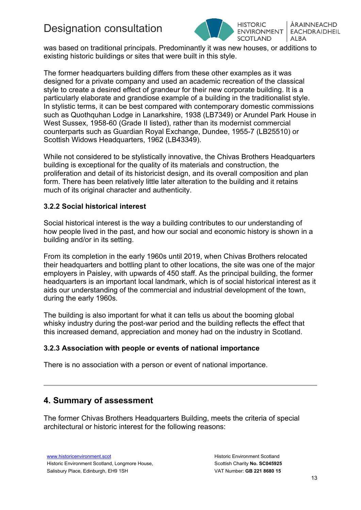

ÀRAINNEACHD **EACHDRAIDHEIL** ALBA

was based on traditional principals. Predominantly it was new houses, or additions to existing historic buildings or sites that were built in this style.

The former headquarters building differs from these other examples as it was designed for a private company and used an academic recreation of the classical style to create a desired effect of grandeur for their new corporate building. It is a particularly elaborate and grandiose example of a building in the traditionalist style. In stylistic terms, it can be best compared with contemporary domestic commissions such as Quothquhan Lodge in Lanarkshire, 1938 (LB7349) or Arundel Park House in West Sussex, 1958-60 (Grade II listed), rather than its modernist commercial counterparts such as Guardian Royal Exchange, Dundee, 1955-7 (LB25510) or Scottish Widows Headquarters, 1962 (LB43349).

While not considered to be stylistically innovative, the Chivas Brothers Headquarters building is exceptional for the quality of its materials and construction, the proliferation and detail of its historicist design, and its overall composition and plan form. There has been relatively little later alteration to the building and it retains much of its original character and authenticity.

### **3.2.2 Social historical interest**

Social historical interest is the way a building contributes to our understanding of how people lived in the past, and how our social and economic history is shown in a building and/or in its setting.

From its completion in the early 1960s until 2019, when Chivas Brothers relocated their headquarters and bottling plant to other locations, the site was one of the major employers in Paisley, with upwards of 450 staff. As the principal building, the former headquarters is an important local landmark, which is of social historical interest as it aids our understanding of the commercial and industrial development of the town, during the early 1960s.

The building is also important for what it can tells us about the booming global whisky industry during the post-war period and the building reflects the effect that this increased demand, appreciation and money had on the industry in Scotland.

### **3.2.3 Association with people or events of national importance**

There is no association with a person or event of national importance.

# **4. Summary of assessment**

The former Chivas Brothers Headquarters Building, meets the criteria of special architectural or historic interest for the following reasons: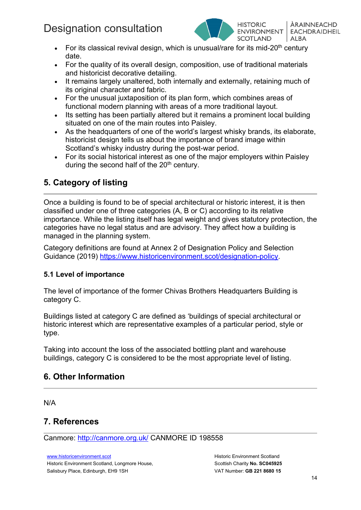

ÀRAINNFACHD **ENVIRONMENT EACHDRAIDHEIL** ALBA

- For its classical revival design, which is unusual/rare for its mid-20<sup>th</sup> century date.
- For the quality of its overall design, composition, use of traditional materials and historicist decorative detailing.
- It remains largely unaltered, both internally and externally, retaining much of its original character and fabric.
- For the unusual juxtaposition of its plan form, which combines areas of functional modern planning with areas of a more traditional layout.
- Its setting has been partially altered but it remains a prominent local building situated on one of the main routes into Paisley.
- As the headquarters of one of the world's largest whisky brands, its elaborate, historicist design tells us about the importance of brand image within Scotland's whisky industry during the post-war period.
- For its social historical interest as one of the major employers within Paisley during the second half of the  $20<sup>th</sup>$  century.

# **5. Category of listing**

Once a building is found to be of special architectural or historic interest, it is then classified under one of three categories (A, B or C) according to its relative importance. While the listing itself has legal weight and gives statutory protection, the categories have no legal status and are advisory. They affect how a building is managed in the planning system.

Category definitions are found at Annex 2 of Designation Policy and Selection Guidance (2019) [https://www.historicenvironment.scot/designation-policy.](https://www.historicenvironment.scot/designation-policy)

### **5.1 Level of importance**

The level of importance of the former Chivas Brothers Headquarters Building is category C.

Buildings listed at category C are defined as 'buildings of special architectural or historic interest which are representative examples of a particular period, style or type.

Taking into account the loss of the associated bottling plant and warehouse buildings, category C is considered to be the most appropriate level of listing.

# **6. Other Information**

N/A

# **7. References**

Canmore:<http://canmore.org.uk/> CANMORE ID 198558

[www.historicenvironment.scot](http://www.historicenvironment.scot/) Historic Environment Scotland, Longmore House, Salisbury Place, Edinburgh, EH9 1SH

Historic Environment Scotland Scottish Charity **No. SC045925** VAT Number: **GB 221 8680 15**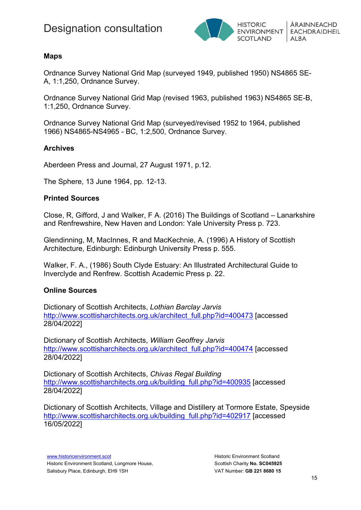

### **Maps**

Ordnance Survey National Grid Map (surveyed 1949, published 1950) NS4865 SE-A, 1:1,250, Ordnance Survey.

Ordnance Survey National Grid Map (revised 1963, published 1963) NS4865 SE-B, 1:1,250, Ordnance Survey.

Ordnance Survey National Grid Map (surveyed/revised 1952 to 1964, published 1966) NS4865-NS4965 - BC, 1:2,500, Ordnance Survey.

#### **Archives**

Aberdeen Press and Journal, 27 August 1971, p.12.

The Sphere, 13 June 1964, pp. 12-13.

#### **Printed Sources**

Close, R, Gifford, J and Walker, F A. (2016) The Buildings of Scotland – Lanarkshire and Renfrewshire, New Haven and London: Yale University Press p. 723.

Glendinning, M, MacInnes, R and MacKechnie, A. (1996) A History of Scottish Architecture, Edinburgh: Edinburgh University Press p. 555.

Walker, F. A., (1986) South Clyde Estuary: An Illustrated Architectural Guide to Inverclyde and Renfrew. Scottish Academic Press p. 22.

### **Online Sources**

Dictionary of Scottish Architects, *Lothian Barclay Jarvis* [http://www.scottisharchitects.org.uk/architect\\_full.php?id=400473](http://www.scottisharchitects.org.uk/architect_full.php?id=400473) [accessed 28/04/2022]

Dictionary of Scottish Architects, *William Geoffrey Jarvis* [http://www.scottisharchitects.org.uk/architect\\_full.php?id=400474](http://www.scottisharchitects.org.uk/architect_full.php?id=400474) [accessed 28/04/2022]

Dictionary of Scottish Architects, *Chivas Regal Building* [http://www.scottisharchitects.org.uk/building\\_full.php?id=400935](http://www.scottisharchitects.org.uk/building_full.php?id=400935) [accessed 28/04/2022]

Dictionary of Scottish Architects, Village and Distillery at Tormore Estate, Speyside [http://www.scottisharchitects.org.uk/building\\_full.php?id=402917](http://www.scottisharchitects.org.uk/building_full.php?id=402917) [accessed 16/05/2022]